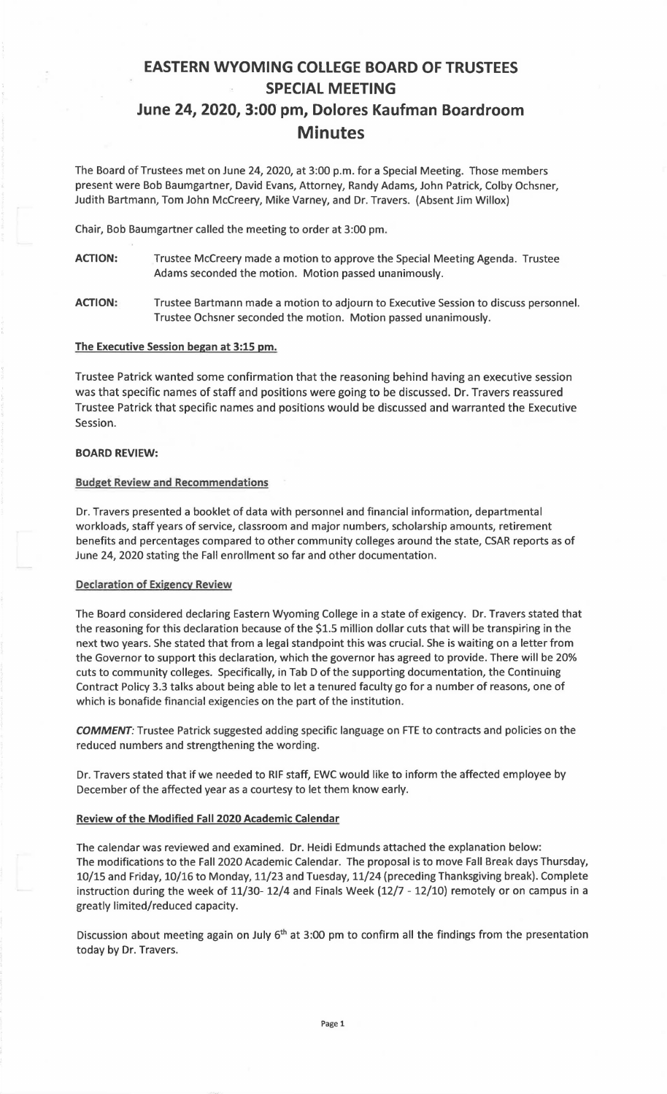# **EASTERN WYOMING COLLEGE BOARD OF TRUSTEES SPECIAL MEETING June 24, 2020, 3:00 pm, Dolores Kaufman Boardroom Minutes**

The Board of Trustees met on June 24, 2020, at 3:00 p.m. for a Special Meeting. Those members present were Bob Baumgartner, David Evans, Attorney, Randy Adams, John Patrick, Colby Ochsner, Judith Bartmann, Tom John Mccreery, Mike Varney, and Dr. Travers. (Absent Jim Willox)

Chair, Bob Baumgartner called the meeting to order at 3:00 pm.

- **ACTION:** Trustee Mccreery made a motion to approve the Special Meeting Agenda. Trustee Adams seconded the motion. Motion passed unanimously.
- **ACTION:** Trustee Bartmann made a motion to adjourn to Executive Session to discuss personnel. Trustee Ochsner seconded the motion. Motion passed unanimously.

# **The Executive Session began at 3:15 pm.**

Trustee Patrick wanted some confirmation that the reasoning behind having an executive session was that specific names of staff and positions were going to be discussed. Dr. Travers reassured Trustee Patrick that specific names and positions would be discussed and warranted the Executive Session.

# **BOARD REVIEW:**

# Budget **Review** and Recommendations

Dr. Travers presented a booklet of data with personnel and financial information, departmental workloads, staff years of service, classroom and major numbers, scholarship amounts, retirement benefits and percentages compared to other community colleges around the state, CSAR reports as of June 24, 2020 stating the Fall enrollment so far and other documentation.

#### Declaration of Exigency Review

The Board considered declaring Eastern Wyoming College in a state of exigency. Dr. Travers stated that the reasoning for this declaration because of the \$1.S million dollar cuts that will be transpiring in the next two years. She stated that from a legal standpoint this was crucial. She is waiting on a letter from the Governor to support this declaration, which the governor has agreed to provide. There will be 20% cuts to community colleges. Specifically, in Tab D of the supporting documentation, the Continuing Contract Policy 3.3 talks about being able to let a tenured faculty go for a number of reasons, one of which is bonafide financial exigencies on the part of the institution.

*COMMENT:* Trustee Patrick suggested adding specific language on FTE to contracts and policies on the reduced numbers and strengthening the wording.

Dr. Travers stated that if we needed to RIF staff, EWC would like to inform the affected employee by December of the affected year as a courtesy to let them know early.

#### **Review of the Modified Fall 2020 Academic Calendar**

The calendar was reviewed and examined. Dr. Heidi Edmunds attached the explanation below: The modifications to the Fall 2020 Academic Calendar. The proposal is to move Fall Break days Thursday, 10/15 and Friday, 10/16 to Monday, 11/23 and Tuesday, 11/24 (preceding Thanksgiving break). Complete instruction during the week of 11/30- 12/4 and Finals Week (12/7 - 12/10) remotely or on campus in a greatly limited/reduced capacity.

Discussion about meeting again on July  $6<sup>th</sup>$  at 3:00 pm to confirm all the findings from the presentation today by Dr. Travers.